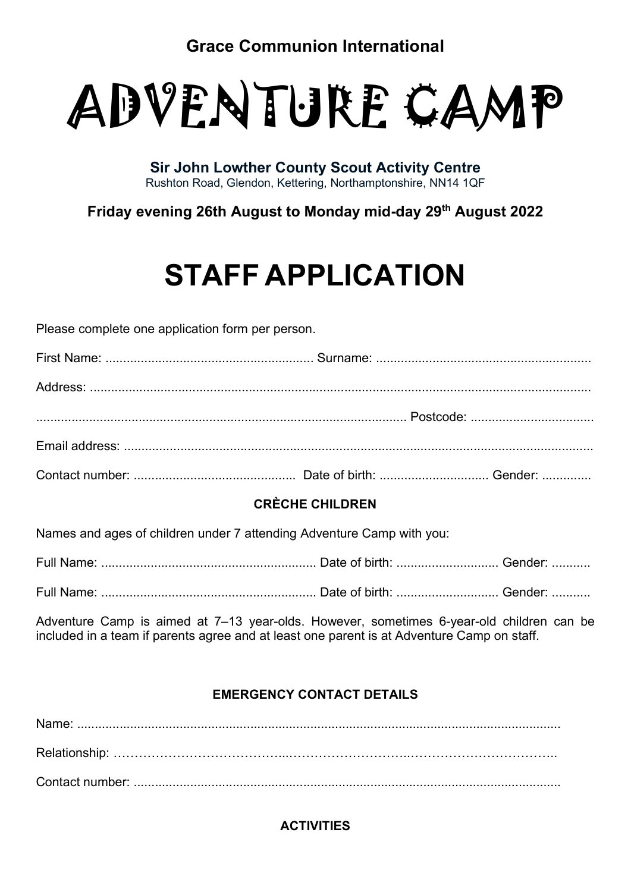Grace Communion International



Sir John Lowther County Scout Activity Centre Rushton Road, Glendon, Kettering, Northamptonshire, NN14 1QF

Friday evening 26th August to Monday mid-day 29th August 2022

# STAFF APPLICATION

Please complete one application form per person.

# CRÈCHE CHILDREN

Names and ages of children under 7 attending Adventure Camp with you:

Full Name: ............................................................. Date of birth: ............................. Gender: ...........

Full Name: ............................................................. Date of birth: ............................. Gender: ...........

Adventure Camp is aimed at 7–13 year-olds. However, sometimes 6-year-old children can be included in a team if parents agree and at least one parent is at Adventure Camp on staff.

# EMERGENCY CONTACT DETAILS

Name: ......................................................................................................................................... Relationship: …………………………………...………………………..…………………………….. Contact number: .........................................................................................................................

# **ACTIVITIES**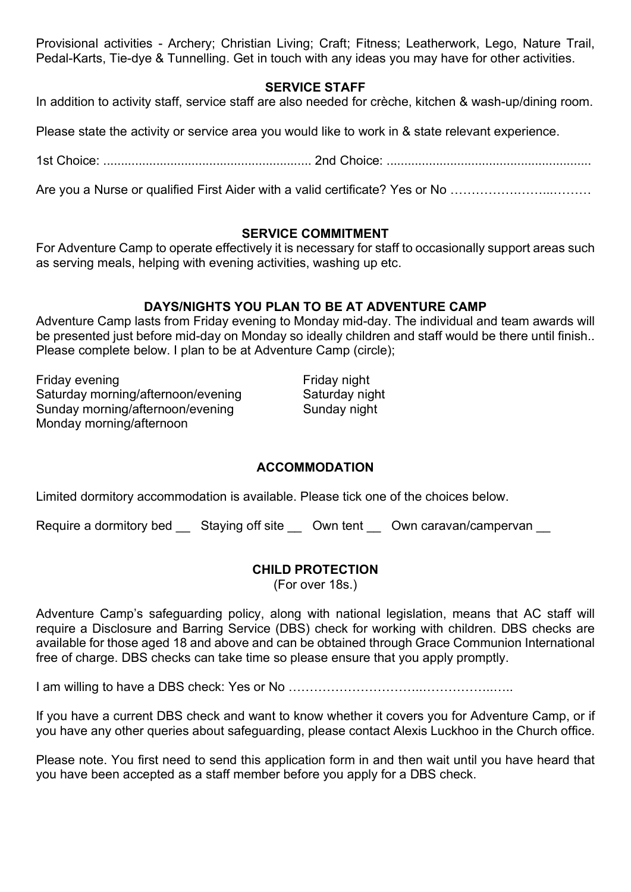Provisional activities - Archery; Christian Living; Craft; Fitness; Leatherwork, Lego, Nature Trail, Pedal-Karts, Tie-dye & Tunnelling. Get in touch with any ideas you may have for other activities.

#### SERVICE STAFF

In addition to activity staff, service staff are also needed for crèche, kitchen & wash-up/dining room.

Please state the activity or service area you would like to work in & state relevant experience.

1st Choice: ........................................................... 2nd Choice: ..........................................................

Are you a Nurse or qualified First Aider with a valid certificate? Yes or No …………….……...………

#### SERVICE COMMITMENT

For Adventure Camp to operate effectively it is necessary for staff to occasionally support areas such as serving meals, helping with evening activities, washing up etc.

## DAYS/NIGHTS YOU PLAN TO BE AT ADVENTURE CAMP

Adventure Camp lasts from Friday evening to Monday mid-day. The individual and team awards will be presented just before mid-day on Monday so ideally children and staff would be there until finish.. Please complete below. I plan to be at Adventure Camp (circle);

Friday evening Friday night Saturday morning/afternoon/evening Saturday night Sunday morning/afternoon/evening Sunday night Monday morning/afternoon

## ACCOMMODATION

Limited dormitory accommodation is available. Please tick one of the choices below.

Require a dormitory bed Staying off site Own tent Own caravan/campervan

## CHILD PROTECTION

(For over 18s.)

Adventure Camp's safeguarding policy, along with national legislation, means that AC staff will require a Disclosure and Barring Service (DBS) check for working with children. DBS checks are available for those aged 18 and above and can be obtained through Grace Communion International free of charge. DBS checks can take time so please ensure that you apply promptly.

I am willing to have a DBS check: Yes or No …………………………..……………..…..

If you have a current DBS check and want to know whether it covers you for Adventure Camp, or if you have any other queries about safeguarding, please contact Alexis Luckhoo in the Church office.

Please note. You first need to send this application form in and then wait until you have heard that you have been accepted as a staff member before you apply for a DBS check.